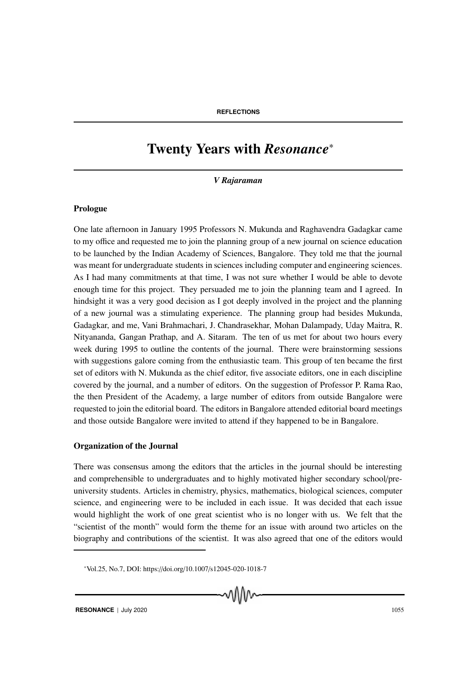# Twenty Years with *Resonance*<sup>∗</sup>

*V Rajaraman*

## Prologue

One late afternoon in January 1995 Professors N. Mukunda and Raghavendra Gadagkar came to my office and requested me to join the planning group of a new journal on science education to be launched by the Indian Academy of Sciences, Bangalore. They told me that the journal was meant for undergraduate students in sciences including computer and engineering sciences. As I had many commitments at that time, I was not sure whether I would be able to devote enough time for this project. They persuaded me to join the planning team and I agreed. In hindsight it was a very good decision as I got deeply involved in the project and the planning of a new journal was a stimulating experience. The planning group had besides Mukunda, Gadagkar, and me, Vani Brahmachari, J. Chandrasekhar, Mohan Dalampady, Uday Maitra, R. Nityananda, Gangan Prathap, and A. Sitaram. The ten of us met for about two hours every week during 1995 to outline the contents of the journal. There were brainstorming sessions with suggestions galore coming from the enthusiastic team. This group of ten became the first set of editors with N. Mukunda as the chief editor, five associate editors, one in each discipline covered by the journal, and a number of editors. On the suggestion of Professor P. Rama Rao, the then President of the Academy, a large number of editors from outside Bangalore were requested to join the editorial board. The editors in Bangalore attended editorial board meetings and those outside Bangalore were invited to attend if they happened to be in Bangalore.

#### Organization of the Journal

There was consensus among the editors that the articles in the journal should be interesting and comprehensible to undergraduates and to highly motivated higher secondary school/preuniversity students. Articles in chemistry, physics, mathematics, biological sciences, computer science, and engineering were to be included in each issue. It was decided that each issue would highlight the work of one great scientist who is no longer with us. We felt that the "scientist of the month" would form the theme for an issue with around two articles on the biography and contributions of the scientist. It was also agreed that one of the editors would

w₩

<sup>∗</sup>Vol.25, No.7, DOI: https://doi.org/10.1007/s12045-020-1018-7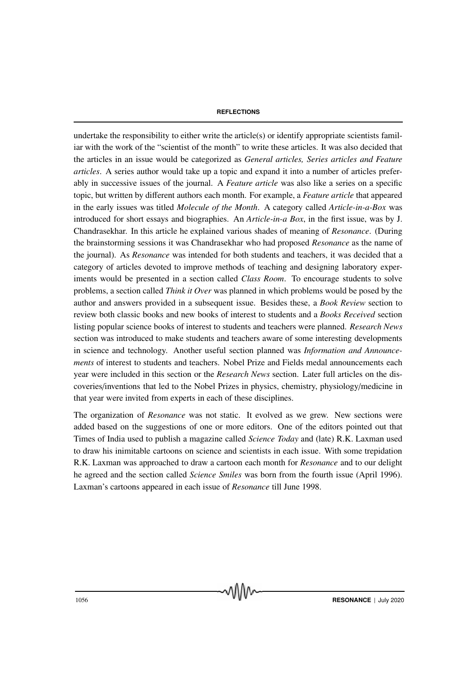undertake the responsibility to either write the article(s) or identify appropriate scientists familiar with the work of the "scientist of the month" to write these articles. It was also decided that the articles in an issue would be categorized as *General articles, Series articles and Feature articles*. A series author would take up a topic and expand it into a number of articles preferably in successive issues of the journal. A *Feature article* was also like a series on a specific topic, but written by different authors each month. For example, a *Feature article* that appeared in the early issues was titled *Molecule of the Month*. A category called *Article-in-a-Box* was introduced for short essays and biographies. An *Article-in-a Box*, in the first issue, was by J. Chandrasekhar. In this article he explained various shades of meaning of *Resonance*. (During the brainstorming sessions it was Chandrasekhar who had proposed *Resonance* as the name of the journal). As *Resonance* was intended for both students and teachers, it was decided that a category of articles devoted to improve methods of teaching and designing laboratory experiments would be presented in a section called *Class Room*. To encourage students to solve problems, a section called *Think it Over* was planned in which problems would be posed by the author and answers provided in a subsequent issue. Besides these, a *Book Review* section to review both classic books and new books of interest to students and a *Books Received* section listing popular science books of interest to students and teachers were planned. *Research News* section was introduced to make students and teachers aware of some interesting developments in science and technology. Another useful section planned was *Information and Announcements* of interest to students and teachers. Nobel Prize and Fields medal announcements each year were included in this section or the *Research News* section. Later full articles on the discoveries/inventions that led to the Nobel Prizes in physics, chemistry, physiology/medicine in that year were invited from experts in each of these disciplines.

The organization of *Resonance* was not static. It evolved as we grew. New sections were added based on the suggestions of one or more editors. One of the editors pointed out that Times of India used to publish a magazine called *Science Today* and (late) R.K. Laxman used to draw his inimitable cartoons on science and scientists in each issue. With some trepidation R.K. Laxman was approached to draw a cartoon each month for *Resonance* and to our delight he agreed and the section called *Science Smiles* was born from the fourth issue (April 1996). Laxman's cartoons appeared in each issue of *Resonance* till June 1998.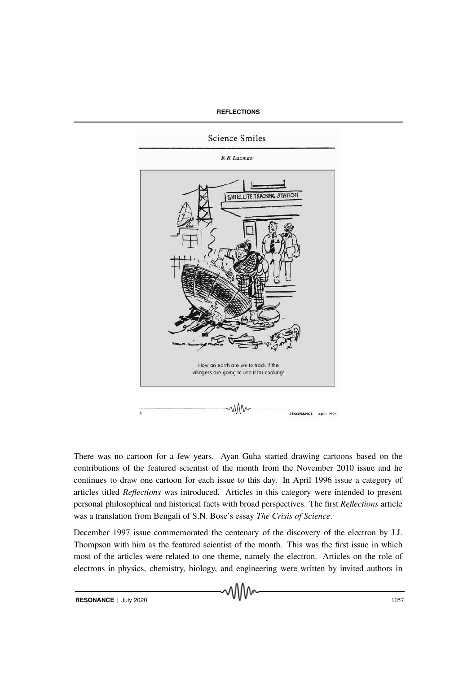

There was no cartoon for a few years. Ayan Guha started drawing cartoons based on the contributions of the featured scientist of the month from the November 2010 issue and he continues to draw one cartoon for each issue to this day. In April 1996 issue a category of articles titled *Reflections* was introduced. Articles in this category were intended to present personal philosophical and historical facts with broad perspectives. The first *Reflections* article was a translation from Bengali of S.N. Bose's essay *The Crisis of Science*.

December 1997 issue commemorated the centenary of the discovery of the electron by J.J. Thompson with him as the featured scientist of the month. This was the first issue in which most of the articles were related to one theme, namely the electron. Articles on the role of electrons in physics, chemistry, biology, and engineering were written by invited authors in

**RESONANCE** | July 2020 1057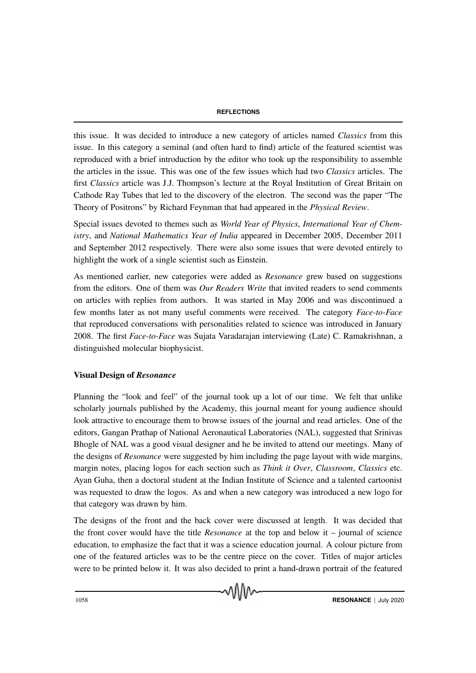this issue. It was decided to introduce a new category of articles named *Classics* from this issue. In this category a seminal (and often hard to find) article of the featured scientist was reproduced with a brief introduction by the editor who took up the responsibility to assemble the articles in the issue. This was one of the few issues which had two *Classics* articles. The first *Classics* article was J.J. Thompson's lecture at the Royal Institution of Great Britain on Cathode Ray Tubes that led to the discovery of the electron. The second was the paper "The Theory of Positrons" by Richard Feynman that had appeared in the *Physical Review*.

Special issues devoted to themes such as *World Year of Physics*, *International Year of Chemistry*, and *National Mathematics Year of India* appeared in December 2005, December 2011 and September 2012 respectively. There were also some issues that were devoted entirely to highlight the work of a single scientist such as Einstein.

As mentioned earlier, new categories were added as *Resonance* grew based on suggestions from the editors. One of them was *Our Readers Write* that invited readers to send comments on articles with replies from authors. It was started in May 2006 and was discontinued a few months later as not many useful comments were received. The category *Face-to-Face* that reproduced conversations with personalities related to science was introduced in January 2008. The first *Face-to-Face* was Sujata Varadarajan interviewing (Late) C. Ramakrishnan, a distinguished molecular biophysicist.

# Visual Design of *Resonance*

Planning the "look and feel" of the journal took up a lot of our time. We felt that unlike scholarly journals published by the Academy, this journal meant for young audience should look attractive to encourage them to browse issues of the journal and read articles. One of the editors, Gangan Prathap of National Aeronautical Laboratories (NAL), suggested that Srinivas Bhogle of NAL was a good visual designer and he be invited to attend our meetings. Many of the designs of *Resonance* were suggested by him including the page layout with wide margins, margin notes, placing logos for each section such as *Think it Over*, *Classroom*, *Classics* etc. Ayan Guha, then a doctoral student at the Indian Institute of Science and a talented cartoonist was requested to draw the logos. As and when a new category was introduced a new logo for that category was drawn by him.

The designs of the front and the back cover were discussed at length. It was decided that the front cover would have the title *Resonance* at the top and below it – journal of science education, to emphasize the fact that it was a science education journal. A colour picture from one of the featured articles was to be the centre piece on the cover. Titles of major articles were to be printed below it. It was also decided to print a hand-drawn portrait of the featured

√∖ใ∖∧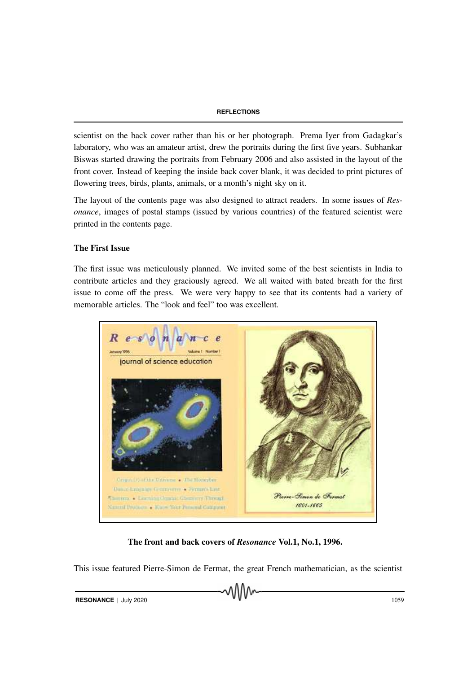scientist on the back cover rather than his or her photograph. Prema Iyer from Gadagkar's laboratory, who was an amateur artist, drew the portraits during the first five years. Subhankar Biswas started drawing the portraits from February 2006 and also assisted in the layout of the front cover. Instead of keeping the inside back cover blank, it was decided to print pictures of flowering trees, birds, plants, animals, or a month's night sky on it.

The layout of the contents page was also designed to attract readers. In some issues of *Resonance*, images of postal stamps (issued by various countries) of the featured scientist were printed in the contents page.

# The First Issue

The first issue was meticulously planned. We invited some of the best scientists in India to contribute articles and they graciously agreed. We all waited with bated breath for the first issue to come off the press. We were very happy to see that its contents had a variety of memorable articles. The "look and feel" too was excellent.



The front and back covers of *Resonance* Vol.1, No.1, 1996.

This issue featured Pierre-Simon de Fermat, the great French mathematician, as the scientist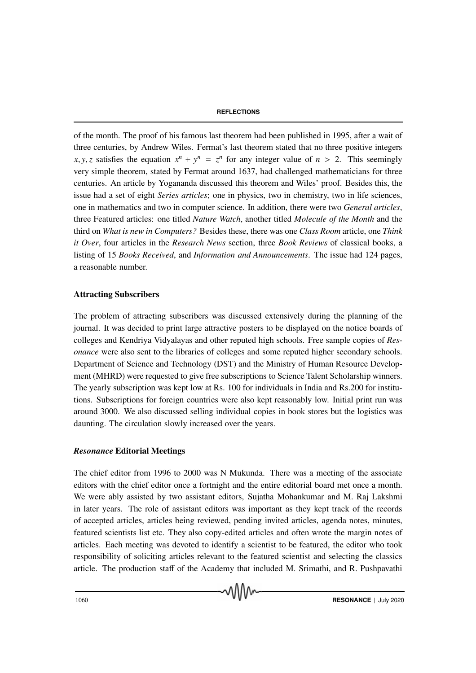of the month. The proof of his famous last theorem had been published in 1995, after a wait of three centuries, by Andrew Wiles. Fermat's last theorem stated that no three positive integers *x*, *y*, *z* satisfies the equation  $x^n + y^n = z^n$  for any integer value of  $n > 2$ . This seemingly very simple theorem, stated by Fermat around 1637, had challenged mathematicians for three centuries. An article by Yogananda discussed this theorem and Wiles' proof. Besides this, the issue had a set of eight *Series articles*; one in physics, two in chemistry, two in life sciences, one in mathematics and two in computer science. In addition, there were two *General articles*, three Featured articles: one titled *Nature Watch*, another titled *Molecule of the Month* and the third on *What is new in Computers?* Besides these, there was one *Class Room* article, one *Think it Over*, four articles in the *Research News* section, three *Book Reviews* of classical books, a listing of 15 *Books Received*, and *Information and Announcements*. The issue had 124 pages, a reasonable number.

# Attracting Subscribers

The problem of attracting subscribers was discussed extensively during the planning of the journal. It was decided to print large attractive posters to be displayed on the notice boards of colleges and Kendriya Vidyalayas and other reputed high schools. Free sample copies of *Resonance* were also sent to the libraries of colleges and some reputed higher secondary schools. Department of Science and Technology (DST) and the Ministry of Human Resource Development (MHRD) were requested to give free subscriptions to Science Talent Scholarship winners. The yearly subscription was kept low at Rs. 100 for individuals in India and Rs.200 for institutions. Subscriptions for foreign countries were also kept reasonably low. Initial print run was around 3000. We also discussed selling individual copies in book stores but the logistics was daunting. The circulation slowly increased over the years.

## *Resonance* Editorial Meetings

The chief editor from 1996 to 2000 was N Mukunda. There was a meeting of the associate editors with the chief editor once a fortnight and the entire editorial board met once a month. We were ably assisted by two assistant editors, Sujatha Mohankumar and M. Raj Lakshmi in later years. The role of assistant editors was important as they kept track of the records of accepted articles, articles being reviewed, pending invited articles, agenda notes, minutes, featured scientists list etc. They also copy-edited articles and often wrote the margin notes of articles. Each meeting was devoted to identify a scientist to be featured, the editor who took responsibility of soliciting articles relevant to the featured scientist and selecting the classics article. The production staff of the Academy that included M. Srimathi, and R. Pushpavathi

wW∿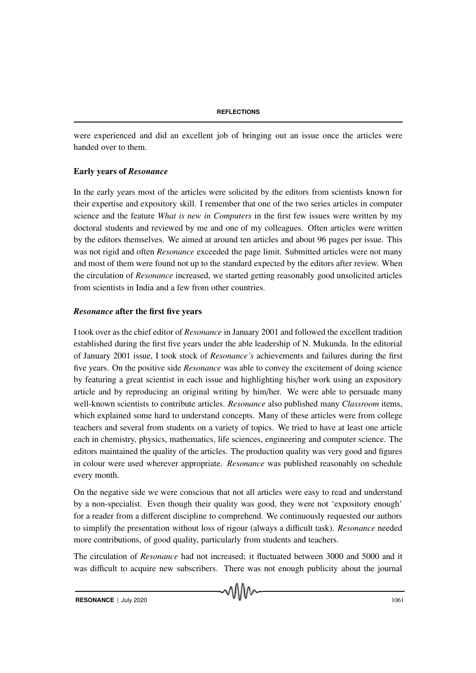were experienced and did an excellent job of bringing out an issue once the articles were handed over to them.

# Early years of *Resonance*

In the early years most of the articles were solicited by the editors from scientists known for their expertise and expository skill. I remember that one of the two series articles in computer science and the feature *What is new in Computers* in the first few issues were written by my doctoral students and reviewed by me and one of my colleagues. Often articles were written by the editors themselves. We aimed at around ten articles and about 96 pages per issue. This was not rigid and often *Resonance* exceeded the page limit. Submitted articles were not many and most of them were found not up to the standard expected by the editors after review. When the circulation of *Resonance* increased, we started getting reasonably good unsolicited articles from scientists in India and a few from other countries.

# *Resonance* after the first five years

I took over as the chief editor of *Resonance* in January 2001 and followed the excellent tradition established during the first five years under the able leadership of N. Mukunda. In the editorial of January 2001 issue, I took stock of *Resonance's* achievements and failures during the first five years. On the positive side *Resonance* was able to convey the excitement of doing science by featuring a great scientist in each issue and highlighting his/her work using an expository article and by reproducing an original writing by him/her. We were able to persuade many well-known scientists to contribute articles. *Resonance* also published many *Classroom* items, which explained some hard to understand concepts. Many of these articles were from college teachers and several from students on a variety of topics. We tried to have at least one article each in chemistry, physics, mathematics, life sciences, engineering and computer science. The editors maintained the quality of the articles. The production quality was very good and figures in colour were used wherever appropriate. *Resonance* was published reasonably on schedule every month.

On the negative side we were conscious that not all articles were easy to read and understand by a non-specialist. Even though their quality was good, they were not 'expository enough' for a reader from a different discipline to comprehend. We continuously requested our authors to simplify the presentation without loss of rigour (always a difficult task). *Resonance* needed more contributions, of good quality, particularly from students and teachers.

The circulation of *Resonance* had not increased; it fluctuated between 3000 and 5000 and it was difficult to acquire new subscribers. There was not enough publicity about the journal

√∖ใ∖∧